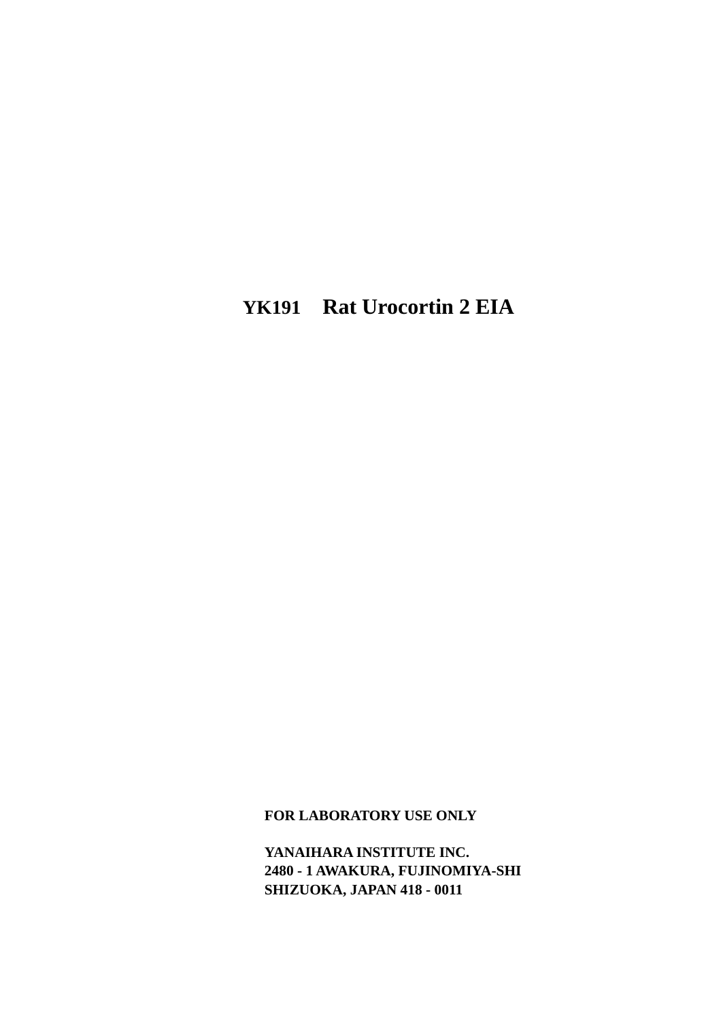# **YK191 Rat Urocortin 2 EIA**

**FOR LABORATORY USE ONLY** 

**YANAIHARA INSTITUTE INC. 2480 - 1 AWAKURA, FUJINOMIYA-SHI SHIZUOKA, JAPAN 418 - 0011**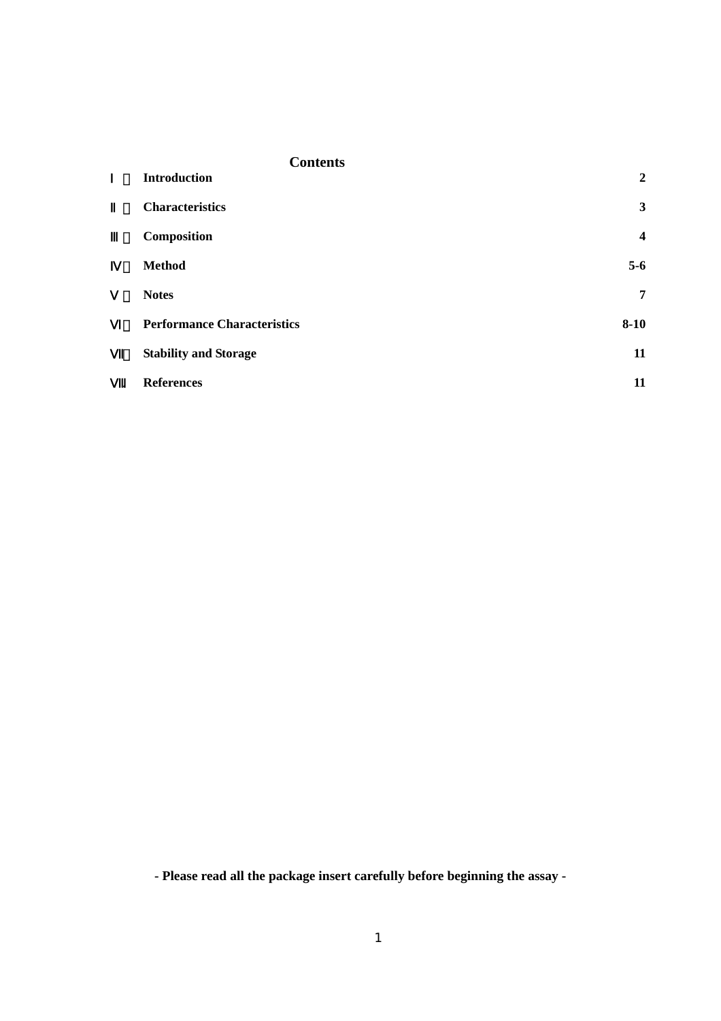| <b>Contents</b>                    |                         |
|------------------------------------|-------------------------|
| <b>Introduction</b>                | $\overline{2}$          |
| <b>Characteristics</b>             | 3                       |
| Composition                        | $\overline{\mathbf{4}}$ |
| <b>Method</b>                      | $5-6$                   |
| <b>Notes</b>                       | $\overline{7}$          |
| <b>Performance Characteristics</b> | $8 - 10$                |
| <b>Stability and Storage</b>       | 11                      |
| <b>References</b><br>$\bullet$     | 11                      |

**- Please read all the package insert carefully before beginning the assay -**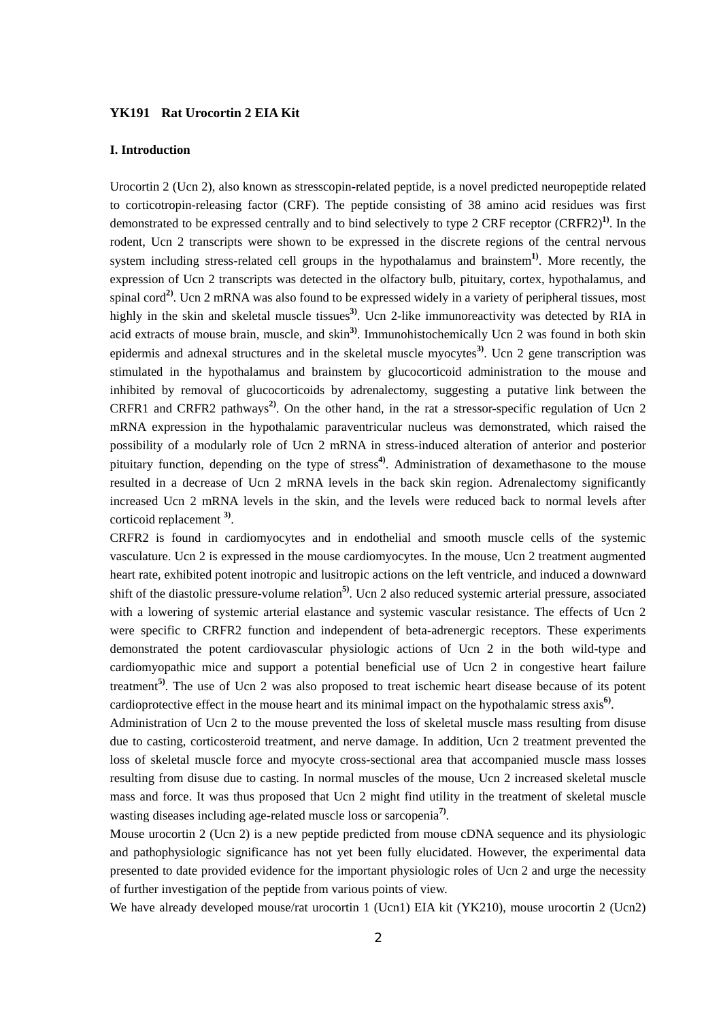## **YK191 Rat Urocortin 2 EIA Kit**

#### **I. Introduction**

Urocortin 2 (Ucn 2), also known as stresscopin-related peptide, is a novel predicted neuropeptide related to corticotropin-releasing factor (CRF). The peptide consisting of 38 amino acid residues was first demonstrated to be expressed centrally and to bind selectively to type 2 CRF receptor (CRFR2)**1)**. In the rodent, Ucn 2 transcripts were shown to be expressed in the discrete regions of the central nervous system including stress-related cell groups in the hypothalamus and brainstem**1)**. More recently, the expression of Ucn 2 transcripts was detected in the olfactory bulb, pituitary, cortex, hypothalamus, and spinal cord**2)**. Ucn 2 mRNA was also found to be expressed widely in a variety of peripheral tissues, most highly in the skin and skeletal muscle tissues**3)**. Ucn 2-like immunoreactivity was detected by RIA in acid extracts of mouse brain, muscle, and skin**3)**. Immunohistochemically Ucn 2 was found in both skin epidermis and adnexal structures and in the skeletal muscle myocytes**3)**. Ucn 2 gene transcription was stimulated in the hypothalamus and brainstem by glucocorticoid administration to the mouse and inhibited by removal of glucocorticoids by adrenalectomy, suggesting a putative link between the CRFR1 and CRFR2 pathways**2)**. On the other hand, in the rat a stressor-specific regulation of Ucn 2 mRNA expression in the hypothalamic paraventricular nucleus was demonstrated, which raised the possibility of a modularly role of Ucn 2 mRNA in stress-induced alteration of anterior and posterior pituitary function, depending on the type of stress**4)**. Administration of dexamethasone to the mouse resulted in a decrease of Ucn 2 mRNA levels in the back skin region. Adrenalectomy significantly increased Ucn 2 mRNA levels in the skin, and the levels were reduced back to normal levels after corticoid replacement **3)**.

CRFR2 is found in cardiomyocytes and in endothelial and smooth muscle cells of the systemic vasculature. Ucn 2 is expressed in the mouse cardiomyocytes. In the mouse, Ucn 2 treatment augmented heart rate, exhibited potent inotropic and lusitropic actions on the left ventricle, and induced a downward shift of the diastolic pressure-volume relation**5)**. Ucn 2 also reduced systemic arterial pressure, associated with a lowering of systemic arterial elastance and systemic vascular resistance. The effects of Ucn 2 were specific to CRFR2 function and independent of beta-adrenergic receptors. These experiments demonstrated the potent cardiovascular physiologic actions of Ucn 2 in the both wild-type and cardiomyopathic mice and support a potential beneficial use of Ucn 2 in congestive heart failure treatment**5)**. The use of Ucn 2 was also proposed to treat ischemic heart disease because of its potent cardioprotective effect in the mouse heart and its minimal impact on the hypothalamic stress axis**6)**.

Administration of Ucn 2 to the mouse prevented the loss of skeletal muscle mass resulting from disuse due to casting, corticosteroid treatment, and nerve damage. In addition, Ucn 2 treatment prevented the loss of skeletal muscle force and myocyte cross-sectional area that accompanied muscle mass losses resulting from disuse due to casting. In normal muscles of the mouse, Ucn 2 increased skeletal muscle mass and force. It was thus proposed that Ucn 2 might find utility in the treatment of skeletal muscle wasting diseases including age-related muscle loss or sarcopenia **7)**.

Mouse urocortin 2 (Ucn 2) is a new peptide predicted from mouse cDNA sequence and its physiologic and pathophysiologic significance has not yet been fully elucidated. However, the experimental data presented to date provided evidence for the important physiologic roles of Ucn 2 and urge the necessity of further investigation of the peptide from various points of view.

We have already developed mouse/rat urocortin 1 (Ucn1) EIA kit (YK210), mouse urocortin 2 (Ucn2)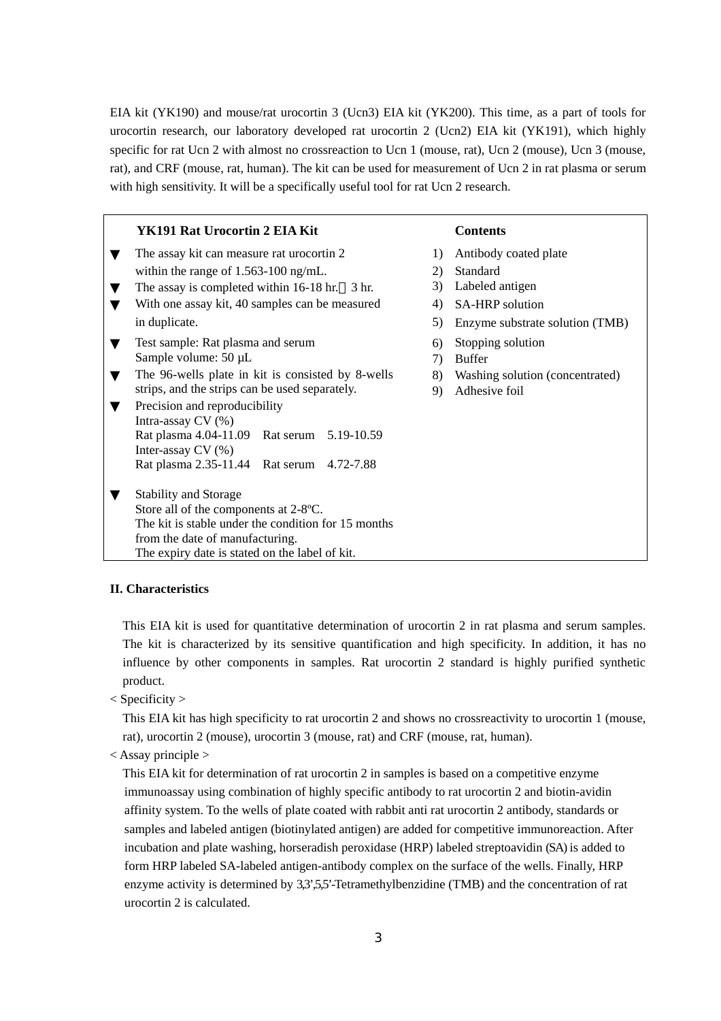EIA kit (YK190) and mouse/rat urocortin 3 (Ucn3) EIA kit (YK200). This time, as a part of tools for urocortin research, our laboratory developed rat urocortin 2 (Ucn2) EIA kit (YK191), which highly specific for rat Ucn 2 with almost no crossreaction to Ucn 1 (mouse, rat), Ucn 2 (mouse), Ucn 3 (mouse, rat), and CRF (mouse, rat, human). The kit can be used for measurement of Ucn 2 in rat plasma or serum with high sensitivity. It will be a specifically useful tool for rat Ucn 2 research.

| YK191 Rat Urocortin 2 EIA Kit                       |    | <b>Contents</b>                 |
|-----------------------------------------------------|----|---------------------------------|
| The assay kit can measure rat urocortin 2           | 1) | Antibody coated plate           |
| within the range of $1.563 - 100$ ng/mL.            | 2) | <b>Standard</b>                 |
| The assay is completed within $16-18$ hr. 3 hr.     | 3) | Labeled antigen                 |
| With one assay kit, 40 samples can be measured      | 4) | <b>SA-HRP</b> solution          |
| in duplicate.                                       | 5) | Enzyme substrate solution (TMB) |
| Test sample: Rat plasma and serum                   | 6) | Stopping solution               |
| Sample volume: $50 \mu L$                           | 7) | <b>Buffer</b>                   |
| The 96-wells plate in kit is consisted by 8-wells   | 8) | Washing solution (concentrated) |
| strips, and the strips can be used separately.      | 9) | Adhesive foil                   |
| Precision and reproducibility                       |    |                                 |
| Intra-assay $CV(%)$                                 |    |                                 |
| Rat plasma 4.04-11.09 Rat serum 5.19-10.59          |    |                                 |
| Inter-assay $CV(%)$                                 |    |                                 |
| Rat plasma 2.35-11.44 Rat serum 4.72-7.88           |    |                                 |
| <b>Stability and Storage</b>                        |    |                                 |
| Store all of the components at 2-8°C.               |    |                                 |
| The kit is stable under the condition for 15 months |    |                                 |
| from the date of manufacturing.                     |    |                                 |
| The expiry date is stated on the label of kit.      |    |                                 |

## **II. Characteristics**

This EIA kit is used for quantitative determination of urocortin 2 in rat plasma and serum samples. The kit is characterized by its sensitive quantification and high specificity. In addition, it has no influence by other components in samples. Rat urocortin 2 standard is highly purified synthetic product.

< Specificity >

This EIA kit has high specificity to rat urocortin 2 and shows no crossreactivity to urocortin 1 (mouse, rat), urocortin 2 (mouse), urocortin 3 (mouse, rat) and CRF (mouse, rat, human).

 $\langle$  Assay principle  $\rangle$ 

This EIA kit for determination of rat urocortin 2 in samples is based on a competitive enzyme immunoassay using combination of highly specific antibody to rat urocortin 2 and biotin-avidin affinity system. To the wells of plate coated with rabbit anti rat urocortin 2 antibody, standards or samples and labeled antigen (biotinylated antigen) are added for competitive immunoreaction. After incubation and plate washing, horseradish peroxidase (HRP) labeled streptoavidin (SA) is added to form HRP labeled SA-labeled antigen-antibody complex on the surface of the wells. Finally, HRP enzyme activity is determined by 3,3',55'-Tetramethylbenzidine (TMB) and the concentration of rat urocortin 2 is calculated.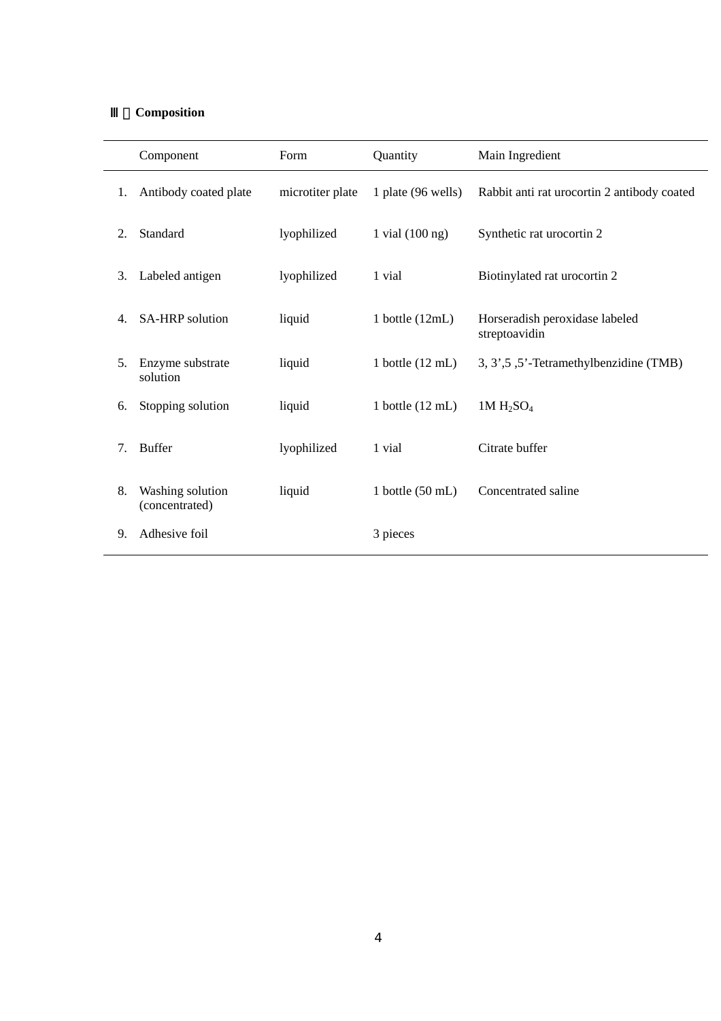# Ⅲ.**Composition**

|    | Component                          | Form             | Quantity                   | Main Ingredient                                 |
|----|------------------------------------|------------------|----------------------------|-------------------------------------------------|
| 1. | Antibody coated plate              | microtiter plate | 1 plate (96 wells)         | Rabbit anti rat urocortin 2 antibody coated     |
| 2. | Standard                           | lyophilized      | 1 vial $(100 \text{ ng})$  | Synthetic rat urocortin 2                       |
| 3. | Labeled antigen                    | lyophilized      | 1 vial                     | Biotinylated rat urocortin 2                    |
| 4. | SA-HRP solution                    | liquid           | 1 bottle $(12mL)$          | Horseradish peroxidase labeled<br>streptoavidin |
| 5. | Enzyme substrate<br>solution       | liquid           | 1 bottle $(12 \text{ mL})$ | 3, 3', 5'-Tetramethylbenzidine (TMB)            |
| 6. | Stopping solution                  | liquid           | 1 bottle $(12 \text{ mL})$ | $1M H_2SO_4$                                    |
| 7. | <b>Buffer</b>                      | lyophilized      | 1 vial                     | Citrate buffer                                  |
| 8. | Washing solution<br>(concentrated) | liquid           | 1 bottle $(50 \text{ mL})$ | Concentrated saline                             |
| 9. | Adhesive foil                      |                  | 3 pieces                   |                                                 |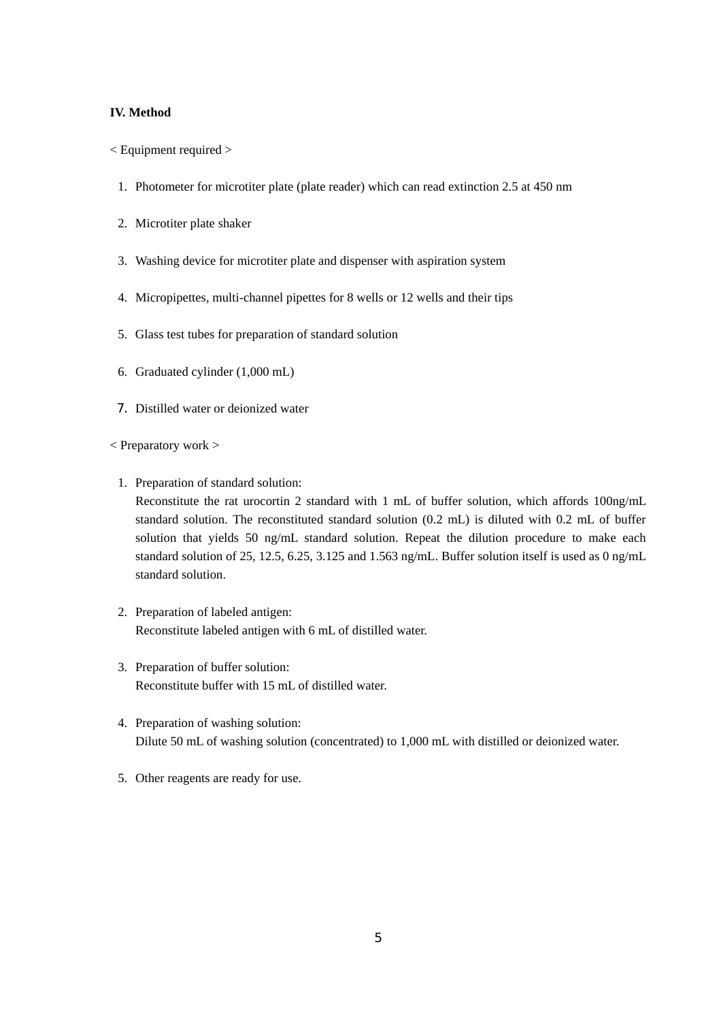## **IV. Method**

- < Equipment required >
	- 1. Photometer for microtiter plate (plate reader) which can read extinction 2.5 at 450 nm
	- 2. Microtiter plate shaker
	- 3. Washing device for microtiter plate and dispenser with aspiration system
	- 4. Micropipettes, multi-channel pipettes for 8 wells or 12 wells and their tips
	- 5. Glass test tubes for preparation of standard solution
	- 6. Graduated cylinder (1,000 mL)
	- 7. Distilled water or deionized water
- < Preparatory work >
	- 1. Preparation of standard solution:

Reconstitute the rat urocortin 2 standard with 1 mL of buffer solution, which affords 100ng/mL standard solution. The reconstituted standard solution (0.2 mL) is diluted with 0.2 mL of buffer solution that yields 50 ng/mL standard solution. Repeat the dilution procedure to make each standard solution of 25, 12.5, 6.25, 3.125 and 1.563 ng/mL. Buffer solution itself is used as 0 ng/mL standard solution.

- 2. Preparation of labeled antigen: Reconstitute labeled antigen with 6 mL of distilled water.
- 3. Preparation of buffer solution: Reconstitute buffer with 15 mL of distilled water.
- 4. Preparation of washing solution: Dilute 50 mL of washing solution (concentrated) to 1,000 mL with distilled or deionized water.
- 5. Other reagents are ready for use.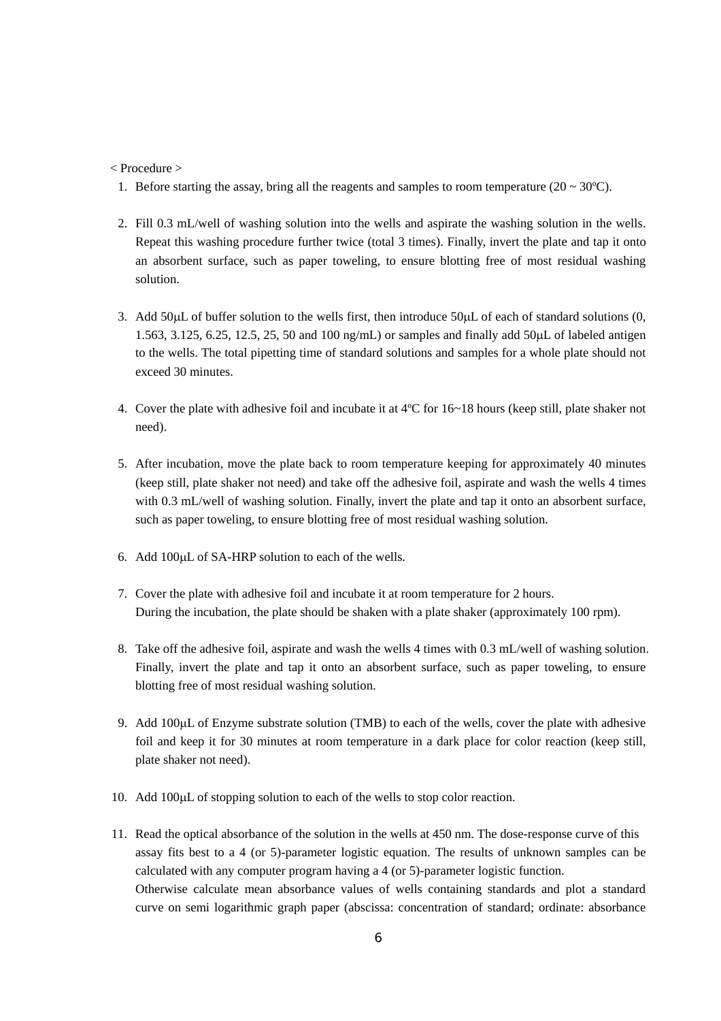### < Procedure >

- 1. Before starting the assay, bring all the reagents and samples to room temperature  $(20 \sim 30^{\circ}C)$ .
- 2. Fill 0.3 mL/well of washing solution into the wells and aspirate the washing solution in the wells. Repeat this washing procedure further twice (total 3 times). Finally, invert the plate and tap it onto an absorbent surface, such as paper toweling, to ensure blotting free of most residual washing solution.
- 3. Add 50µL of buffer solution to the wells first, then introduce 50µL of each of standard solutions (0, 1.563, 3.125, 6.25, 12.5, 25, 50 and 100 ng/mL) or samples and finally add 50µL of labeled antigen to the wells. The total pipetting time of standard solutions and samples for a whole plate should not exceed 30 minutes.
- 4. Cover the plate with adhesive foil and incubate it at 4ºC for 16~18 hours (keep still, plate shaker not need).
- 5. After incubation, move the plate back to room temperature keeping for approximately 40 minutes (keep still, plate shaker not need) and take off the adhesive foil, aspirate and wash the wells 4 times with 0.3 mL/well of washing solution. Finally, invert the plate and tap it onto an absorbent surface, such as paper toweling, to ensure blotting free of most residual washing solution.
- 6. Add 100µL of SA-HRP solution to each of the wells.
- 7. Cover the plate with adhesive foil and incubate it at room temperature for 2 hours. During the incubation, the plate should be shaken with a plate shaker (approximately 100 rpm).
- 8. Take off the adhesive foil, aspirate and wash the wells 4 times with 0.3 mL/well of washing solution. Finally, invert the plate and tap it onto an absorbent surface, such as paper toweling, to ensure blotting free of most residual washing solution.
- 9. Add 100µL of Enzyme substrate solution (TMB) to each of the wells, cover the plate with adhesive foil and keep it for 30 minutes at room temperature in a dark place for color reaction (keep still, plate shaker not need).
- 10. Add 100µL of stopping solution to each of the wells to stop color reaction.
- 11. Read the optical absorbance of the solution in the wells at 450 nm. The dose-response curve of this assay fits best to a 4 (or 5)-parameter logistic equation. The results of unknown samples can be calculated with any computer program having a 4 (or 5)-parameter logistic function. Otherwise calculate mean absorbance values of wells containing standards and plot a standard curve on semi logarithmic graph paper (abscissa: concentration of standard; ordinate: absorbance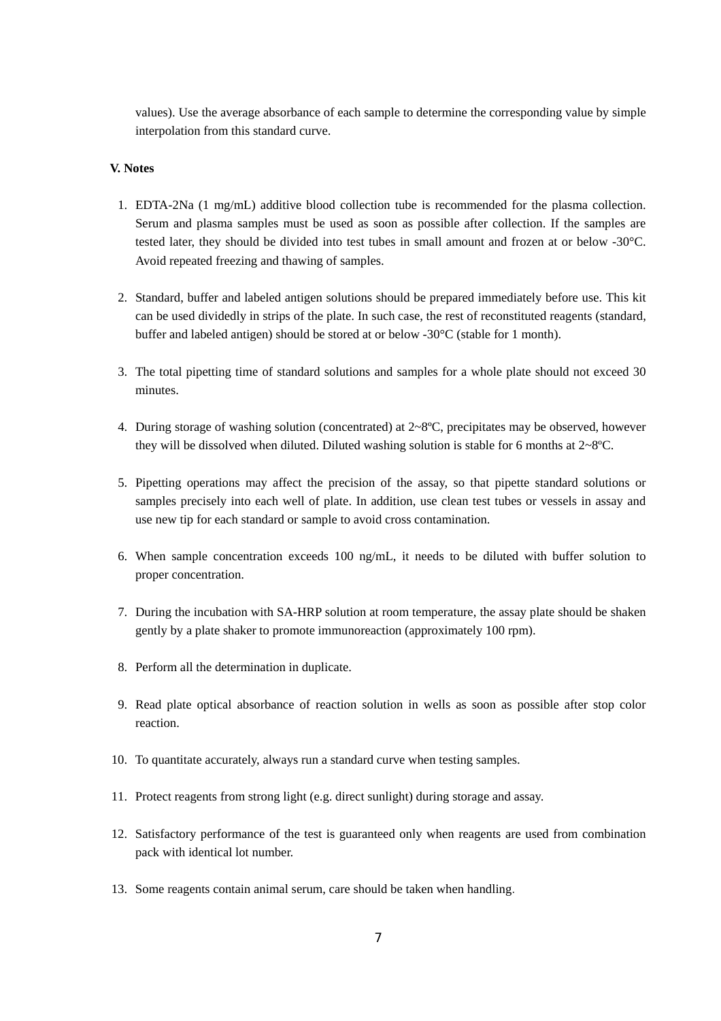values). Use the average absorbance of each sample to determine the corresponding value by simple interpolation from this standard curve.

# **V. Notes**

- 1. EDTA-2Na (1 mg/mL) additive blood collection tube is recommended for the plasma collection. Serum and plasma samples must be used as soon as possible after collection. If the samples are tested later, they should be divided into test tubes in small amount and frozen at or below -30°C. Avoid repeated freezing and thawing of samples.
- 2. Standard, buffer and labeled antigen solutions should be prepared immediately before use. This kit can be used dividedly in strips of the plate. In such case, the rest of reconstituted reagents (standard, buffer and labeled antigen) should be stored at or below -30°C (stable for 1 month).
- 3. The total pipetting time of standard solutions and samples for a whole plate should not exceed 30 minutes.
- 4. During storage of washing solution (concentrated) at  $2 \times 8$ °C, precipitates may be observed, however they will be dissolved when diluted. Diluted washing solution is stable for 6 months at  $2 \times 8$ °C.
- 5. Pipetting operations may affect the precision of the assay, so that pipette standard solutions or samples precisely into each well of plate. In addition, use clean test tubes or vessels in assay and use new tip for each standard or sample to avoid cross contamination.
- 6. When sample concentration exceeds 100 ng/mL, it needs to be diluted with buffer solution to proper concentration.
- 7. During the incubation with SA-HRP solution at room temperature, the assay plate should be shaken gently by a plate shaker to promote immunoreaction (approximately 100 rpm).
- 8. Perform all the determination in duplicate.
- 9. Read plate optical absorbance of reaction solution in wells as soon as possible after stop color reaction.
- 10. To quantitate accurately, always run a standard curve when testing samples.
- 11. Protect reagents from strong light (e.g. direct sunlight) during storage and assay.
- 12. Satisfactory performance of the test is guaranteed only when reagents are used from combination pack with identical lot number.
- 13. Some reagents contain animal serum, care should be taken when handling.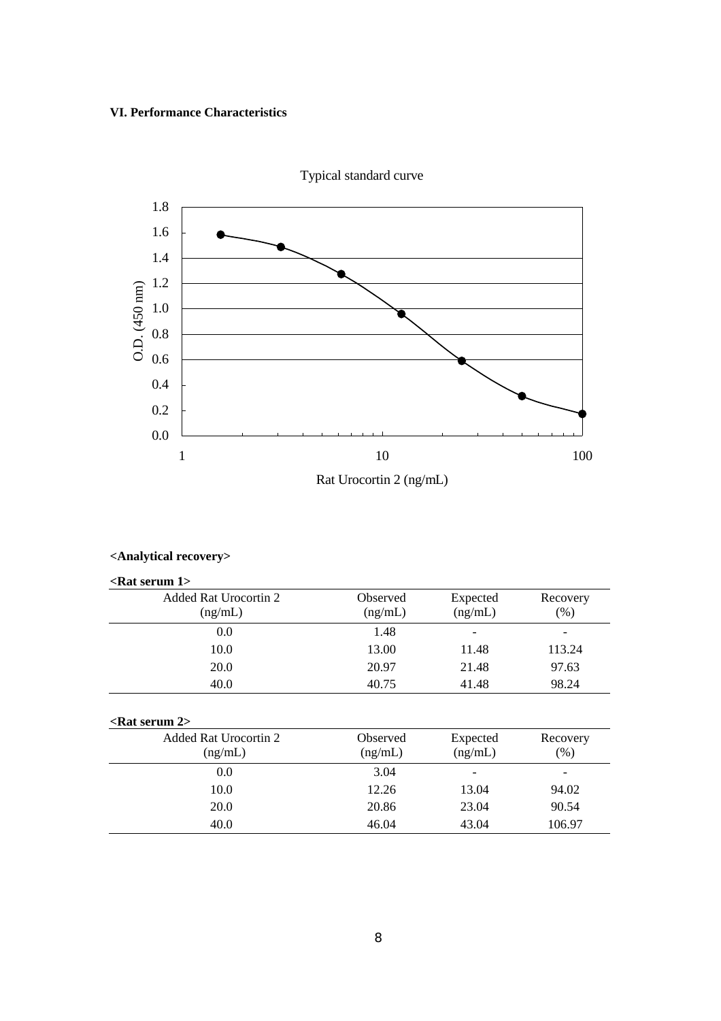## **VI. Performance Characteristics**



**<Analytical recovery>**

| $\epsilon$ Rat serum 1> |                          |          |  |  |
|-------------------------|--------------------------|----------|--|--|
| Observed                | Expected                 | Recovery |  |  |
| (ng/mL)                 | (ng/mL)                  | (% )     |  |  |
| 1.48                    | $\overline{\phantom{a}}$ |          |  |  |
| 13.00                   | 11.48                    | 113.24   |  |  |
| 20.97                   | 21.48                    | 97.63    |  |  |
| 40.75                   | 41.48                    | 98.24    |  |  |
|                         |                          |          |  |  |
|                         |                          |          |  |  |
| Observed                | Expected                 | Recovery |  |  |
| (ng/mL)                 | (ng/mL)                  | (% )     |  |  |
| 3.04                    |                          |          |  |  |
| 12.26                   | 13.04                    | 94.02    |  |  |
| 20.86                   | 23.04                    | 90.54    |  |  |
| 46.04                   | 43.04                    | 106.97   |  |  |
|                         |                          |          |  |  |

Typical standard curve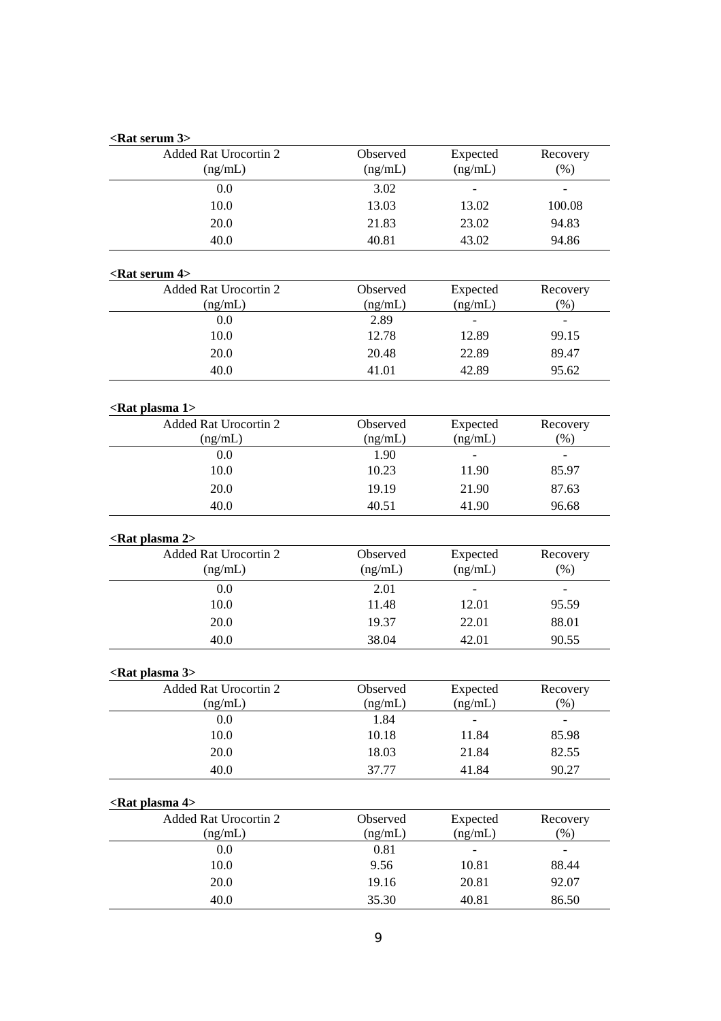| <rat 3="" serum=""></rat>                            |          |                   |                          |
|------------------------------------------------------|----------|-------------------|--------------------------|
| Added Rat Urocortin 2                                | Observed | Expected          | Recovery                 |
| (ng/mL)                                              | (ng/mL)  | (ng/mL)           | $(\% )$                  |
| 0.0                                                  | 3.02     |                   |                          |
| 10.0                                                 | 13.03    | 13.02             | 100.08                   |
| 20.0                                                 | 21.83    | 23.02             | 94.83                    |
| 40.0                                                 | 40.81    | 43.02             | 94.86                    |
| <rat 4="" serum=""></rat>                            |          |                   |                          |
| <b>Added Rat Urocortin 2</b>                         | Observed | Expected          | Recovery                 |
| (ng/mL)                                              | (ng/mL)  | (ng/mL)           | $(\%)$                   |
| 0.0                                                  | 2.89     | $\qquad \qquad -$ | $\overline{\phantom{m}}$ |
| 10.0                                                 | 12.78    | 12.89             | 99.15                    |
| 20.0                                                 | 20.48    | 22.89             | 89.47                    |
| 40.0                                                 | 41.01    | 42.89             | 95.62                    |
|                                                      |          |                   |                          |
| <rat 1="" plasma=""><br/>Added Rat Urocortin 2</rat> | Observed | Expected          | Recovery                 |
| (ng/mL)                                              | (ng/mL)  | (ng/mL)           | (% )                     |
| 0.0                                                  | 1.90     |                   |                          |
| 10.0                                                 | 10.23    | 11.90             | 85.97                    |
| 20.0                                                 | 19.19    | 21.90             | 87.63                    |
| 40.0                                                 | 40.51    | 41.90             | 96.68                    |
| <rat 2="" plasma=""></rat>                           |          |                   |                          |
| <b>Added Rat Urocortin 2</b>                         | Observed | Expected          | Recovery                 |
| (ng/mL)                                              | (ng/mL)  | (ng/mL)           | (% )                     |
| 0.0                                                  | 2.01     |                   |                          |
| 10.0                                                 | 11.48    | 12.01             | 95.59                    |
| 20.0                                                 | 19.37    | 22.01             | 88.01                    |
| 40.0                                                 | 38.04    | 42.01             | 90.55                    |
|                                                      |          |                   |                          |
| <rat 3="" plasma=""><br/>Added Rat Urocortin 2</rat> | Observed | Expected          | Recovery                 |
| (ng/mL)                                              | (ng/mL)  | (ng/mL)           | $(\%)$                   |
| 0.0                                                  | 1.84     |                   |                          |
| 10.0                                                 | 10.18    | 11.84             | 85.98                    |
| 20.0                                                 | 18.03    | 21.84             | 82.55                    |
| 40.0                                                 | 37.77    | 41.84             | 90.27                    |
| <rat 4="" plasma=""></rat>                           |          |                   |                          |
| Added Rat Urocortin 2                                | Observed | Expected          | Recovery                 |
| (ng/mL)                                              | (ng/mL)  | (ng/mL)           | $(\%)$                   |
| 0.0                                                  | 0.81     |                   |                          |
| 10.0                                                 | 9.56     | 10.81             | 88.44                    |
| 20.0                                                 | 19.16    | 20.81             | 92.07                    |
| 40.0                                                 | 35.30    | 40.81             | 86.50                    |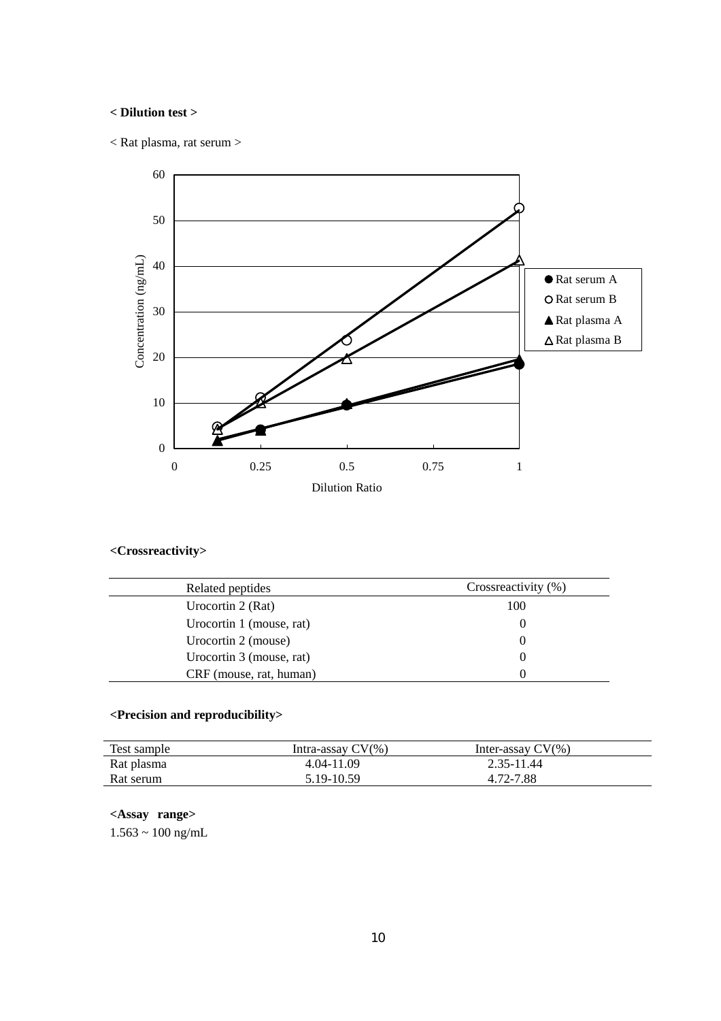# **< Dilution test >**

< Rat plasma, rat serum >



# **<Crossreactivity>**

| Related peptides         | Crossreactivity (%) |
|--------------------------|---------------------|
| Urocortin 2 (Rat)        | 100                 |
| Urocortin 1 (mouse, rat) |                     |
| Urocortin 2 (mouse)      |                     |
| Urocortin 3 (mouse, rat) |                     |
| CRF (mouse, rat, human)  |                     |

# **<Precision and reproducibility>**

| Test sample | Intra-assay CV(%) | Inter-assay $CV(\% )$ |  |
|-------------|-------------------|-----------------------|--|
| Rat plasma  | 4.04-11.09        | 2.35-11.44            |  |
| Rat serum   | 5.19-10.59        | 4.72-7.88             |  |

# **<Assay range>**

 $1.563 \sim 100$  ng/mL